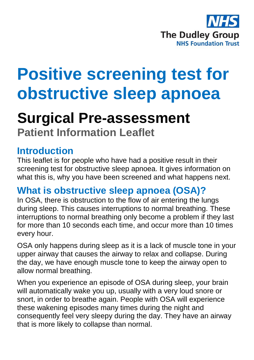

# **Positive screening test for obstructive sleep apnoea**

## **Surgical Pre-assessment**

**Patient Information Leaflet**

#### **Introduction**

This leaflet is for people who have had a positive result in their screening test for obstructive sleep apnoea. It gives information on what this is, why you have been screened and what happens next.

### **What is obstructive sleep apnoea (OSA)?**

In OSA, there is obstruction to the flow of air entering the lungs during sleep. This causes interruptions to normal breathing. These interruptions to normal breathing only become a problem if they last for more than 10 seconds each time, and occur more than 10 times every hour.

OSA only happens during sleep as it is a lack of muscle tone in your upper airway that causes the airway to relax and collapse. During the day, we have enough muscle tone to keep the airway open to allow normal breathing.

When you experience an episode of OSA during sleep, your brain will automatically wake you up, usually with a very loud snore or snort, in order to breathe again. People with OSA will experience these wakening episodes many times during the night and consequently feel very sleepy during the day. They have an airway that is more likely to collapse than normal.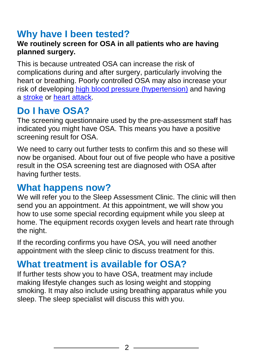## **Why have I been tested?**

#### **We routinely screen for OSA in all patients who are having planned surgery.**

This is because untreated OSA can increase the risk of complications during and after surgery, particularly involving the heart or breathing. Poorly controlled OSA may also increase your risk of developing [high blood pressure \(hypertension\)](http://www.nhs.uk/conditions/Blood-pressure-(high)/Pages/Introduction.aspx) and having a [stroke](http://www.nhs.uk/conditions/stroke/Pages/Introduction.aspx) or [heart attack.](http://www.nhs.uk/conditions/heart-attack/Pages/Introduction.aspx)

## **Do I have OSA?**

The screening questionnaire used by the pre-assessment staff has indicated you might have OSA. This means you have a positive screening result for OSA.

We need to carry out further tests to confirm this and so these will now be organised. About four out of five people who have a positive result in the OSA screening test are diagnosed with OSA after having further tests.

#### **What happens now?**

We will refer you to the Sleep Assessment Clinic. The clinic will then send you an appointment. At this appointment, we will show you how to use some special recording equipment while you sleep at home. The equipment records oxygen levels and heart rate through the night.

If the recording confirms you have OSA, you will need another appointment with the sleep clinic to discuss treatment for this.

### **What treatment is available for OSA?**

If further tests show you to have OSA, treatment may include making lifestyle changes such as losing weight and stopping smoking. It may also include using breathing apparatus while you sleep. The sleep specialist will discuss this with you.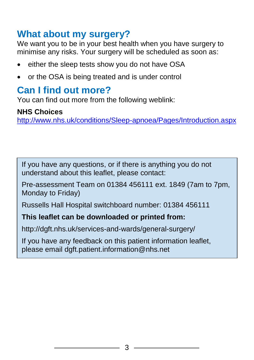#### **What about my surgery?**

We want you to be in your best health when you have surgery to minimise any risks. Your surgery will be scheduled as soon as:

- either the sleep tests show you do not have OSA
- or the OSA is being treated and is under control

#### **Can I find out more?**

You can find out more from the following weblink:

#### **NHS Choices**

<http://www.nhs.uk/conditions/Sleep-apnoea/Pages/Introduction.aspx>

If you have any questions, or if there is anything you do not understand about this leaflet, please contact:

Pre-assessment Team on 01384 456111 ext. 1849 (7am to 7pm, Monday to Friday)

Russells Hall Hospital switchboard number: 01384 456111

#### **This leaflet can be downloaded or printed from:**

http://dgft.nhs.uk/services-and-wards/general-surgery/

If you have any feedback on this patient information leaflet, please email dgft.patient.information@nhs.net